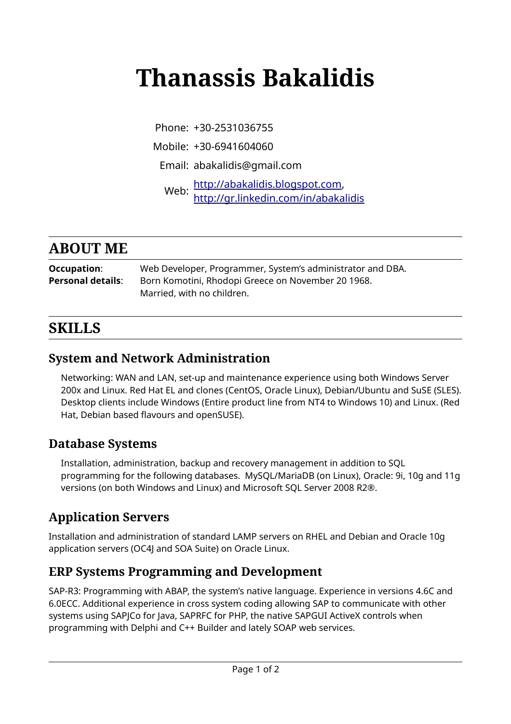# **Thanassis Bakalidis**

Phone: +30-2531036755

Mobile: +30-6941604060

Email: abakalidis@gmail.com

Web: [http://abakalidis.blogspot.com,](http://abakalidis.blogspot.com/)<br>Web: http://audial.com/in/abakalidi <http://gr.linkedin.com/in/abakalidis>

## **ABOUT ME**

**Occupation**: Web Developer, Programmer, System's administrator and DBA. Personal details: Born Komotini, Rhodopi Greece on November 20 1968. Married, with no children.

## **SKILLS**

#### **System and Network Administration**

Networking: WAN and LAN, set-up and maintenance experience using both Windows Server 200x and Linux. Red Hat EL and clones (CentOS, Oracle Linux), Debian/Ubuntu and SuSE (SLES). Desktop clients include Windows (Entire product line from NT4 to Windows 10) and Linux. (Red Hat, Debian based flavours and openSUSE).

#### **Database Systems**

Installation, administration, backup and recovery management in addition to SQL programming for the following databases. MySQL/MariaDB (on Linux), Oracle: 9i, 10g and 11g versions (on both Windows and Linux) and Microsoft SQL Server 2008 R2®.

### **Application Servers**

Installation and administration of standard LAMP servers on RHEL and Debian and Oracle 10g application servers (OC4J and SOA Suite) on Oracle Linux.

#### **ERP Systems Programming and Development**

SAP-R3: Programming with ABAP, the system's native language. Experience in versions 4.6C and 6.0ECC. Additional experience in cross system coding allowing SAP to communicate with other systems using SAPJCo for Java, SAPRFC for PHP, the native SAPGUI ActiveX controls when programming with Delphi and C++ Builder and lately SOAP web services.